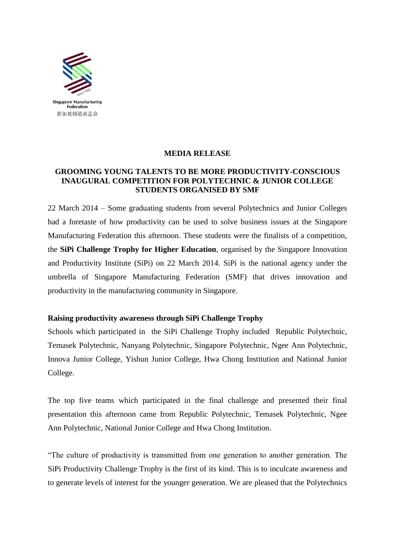

## **MEDIA RELEASE**

#### **GROOMING YOUNG TALENTS TO BE MORE PRODUCTIVITY-CONSCIOUS INAUGURAL COMPETITION FOR POLYTECHNIC & JUNIOR COLLEGE STUDENTS ORGANISED BY SMF**

22 March 2014 – Some graduating students from several Polytechnics and Junior Colleges had a foretaste of how productivity can be used to solve business issues at the Singapore Manufacturing Federation this afternoon. These students were the finalists of a competition, the **SiPi Challenge Trophy for Higher Education**, organised by the Singapore Innovation and Productivity Institute (SiPi) on 22 March 2014. SiPi is the national agency under the umbrella of Singapore Manufacturing Federation (SMF) that drives innovation and productivity in the manufacturing community in Singapore.

## **Raising productivity awareness through SiPi Challenge Trophy**

Schools which participated in the SiPi Challenge Trophy included Republic Polytechnic, Temasek Polytechnic, Nanyang Polytechnic, Singapore Polytechnic, Ngee Ann Polytechnic, Innova Junior College, Yishun Junior College, Hwa Chong Institution and National Junior College.

The top five teams which participated in the final challenge and presented their final presentation this afternoon came from Republic Polytechnic, Temasek Polytechnic, Ngee Ann Polytechnic, National Junior College and Hwa Chong Institution.

"The culture of productivity is transmitted from one generation to another generation. The SiPi Productivity Challenge Trophy is the first of its kind. This is to inculcate awareness and to generate levels of interest for the younger generation. We are pleased that the Polytechnics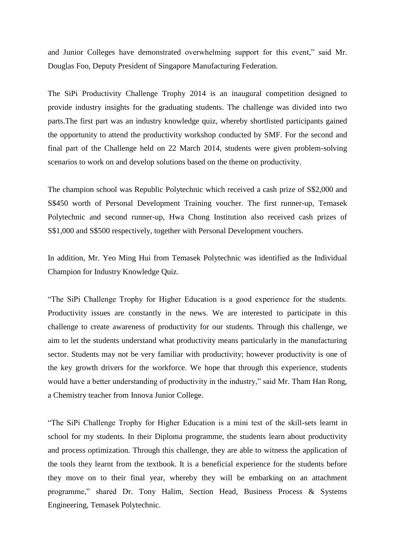and Junior Colleges have demonstrated overwhelming support for this event," said Mr. Douglas Foo, Deputy President of Singapore Manufacturing Federation.

The SiPi Productivity Challenge Trophy 2014 is an inaugural competition designed to provide industry insights for the graduating students. The challenge was divided into two parts.The first part was an industry knowledge quiz, whereby shortlisted participants gained the opportunity to attend the productivity workshop conducted by SMF. For the second and final part of the Challenge held on 22 March 2014, students were given problem-solving scenarios to work on and develop solutions based on the theme on productivity.

The champion school was Republic Polytechnic which received a cash prize of S\$2,000 and S\$450 worth of Personal Development Training voucher. The first runner-up, Temasek Polytechnic and second runner-up, Hwa Chong Institution also received cash prizes of S\$1,000 and S\$500 respectively, together with Personal Development vouchers.

In addition, Mr. Yeo Ming Hui from Temasek Polytechnic was identified as the Individual Champion for Industry Knowledge Quiz.

"The SiPi Challenge Trophy for Higher Education is a good experience for the students. Productivity issues are constantly in the news. We are interested to participate in this challenge to create awareness of productivity for our students. Through this challenge, we aim to let the students understand what productivity means particularly in the manufacturing sector. Students may not be very familiar with productivity; however productivity is one of the key growth drivers for the workforce. We hope that through this experience, students would have a better understanding of productivity in the industry," said Mr. Tham Han Rong, a Chemistry teacher from Innova Junior College.

"The SiPi Challenge Trophy for Higher Education is a mini test of the skill-sets learnt in school for my students. In their Diploma programme, the students learn about productivity and process optimization. Through this challenge, they are able to witness the application of the tools they learnt from the textbook. It is a beneficial experience for the students before they move on to their final year, whereby they will be embarking on an attachment programme," shared Dr. Tony Halim, Section Head, Business Process & Systems Engineering, Temasek Polytechnic.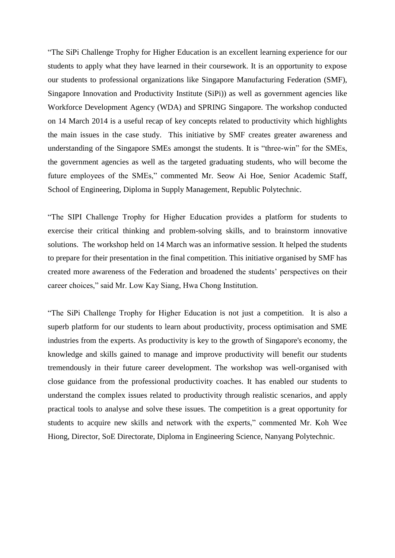"The SiPi Challenge Trophy for Higher Education is an excellent learning experience for our students to apply what they have learned in their coursework. It is an opportunity to expose our students to professional organizations like Singapore Manufacturing Federation (SMF), Singapore Innovation and Productivity Institute (SiPi)) as well as government agencies like Workforce Development Agency (WDA) and SPRING Singapore. The workshop conducted on 14 March 2014 is a useful recap of key concepts related to productivity which highlights the main issues in the case study. This initiative by SMF creates greater awareness and understanding of the Singapore SMEs amongst the students. It is "three-win" for the SMEs, the government agencies as well as the targeted graduating students, who will become the future employees of the SMEs," commented Mr. Seow Ai Hoe, Senior Academic Staff, School of Engineering, Diploma in Supply Management, Republic Polytechnic.

"The SIPI Challenge Trophy for Higher Education provides a platform for students to exercise their critical thinking and problem-solving skills, and to brainstorm innovative solutions. The workshop held on 14 March was an informative session. It helped the students to prepare for their presentation in the final competition. This initiative organised by SMF has created more awareness of the Federation and broadened the students' perspectives on their career choices," said Mr. Low Kay Siang, Hwa Chong Institution.

"The SiPi Challenge Trophy for Higher Education is not just a competition. It is also a superb platform for our students to learn about productivity, process optimisation and SME industries from the experts. As productivity is key to the growth of Singapore's economy, the knowledge and skills gained to manage and improve productivity will benefit our students tremendously in their future career development. The workshop was well-organised with close guidance from the professional productivity coaches. It has enabled our students to understand the complex issues related to productivity through realistic scenarios, and apply practical tools to analyse and solve these issues. The competition is a great opportunity for students to acquire new skills and network with the experts," commented Mr. Koh Wee Hiong, Director, SoE Directorate, Diploma in Engineering Science, Nanyang Polytechnic.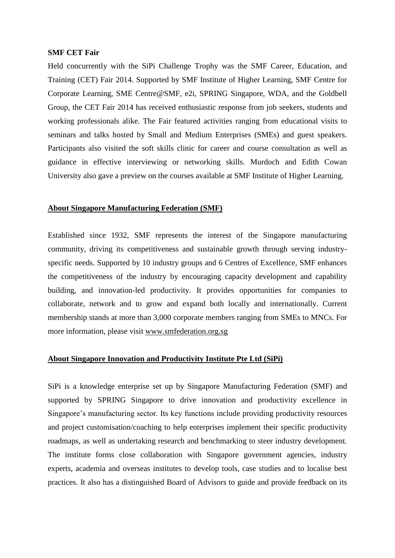#### **SMF CET Fair**

Held concurrently with the SiPi Challenge Trophy was the SMF Career, Education, and Training (CET) Fair 2014. Supported by SMF Institute of Higher Learning, SMF Centre for Corporate Learning, SME Centre@SMF, e2i, SPRING Singapore, WDA, and the Goldbell Group, the CET Fair 2014 has received enthusiastic response from job seekers, students and working professionals alike. The Fair featured activities ranging from educational visits to seminars and talks hosted by Small and Medium Enterprises (SMEs) and guest speakers. Participants also visited the soft skills clinic for career and course consultation as well as guidance in effective interviewing or networking skills. Murdoch and Edith Cowan University also gave a preview on the courses available at SMF Institute of Higher Learning.

#### **About Singapore Manufacturing Federation (SMF)**

Established since 1932, SMF represents the interest of the Singapore manufacturing community, driving its competitiveness and sustainable growth through serving industryspecific needs. Supported by 10 industry groups and 6 Centres of Excellence, SMF enhances the competitiveness of the industry by encouraging capacity development and capability building, and innovation-led productivity. It provides opportunities for companies to collaborate, network and to grow and expand both locally and internationally. Current membership stands at more than 3,000 corporate members ranging from SMEs to MNCs. For more information, please visit [www.smfederation.org.sg](http://www.smfederation.org.sg/)

## **About Singapore Innovation and Productivity Institute Pte Ltd (SiPi)**

SiPi is a knowledge enterprise set up by Singapore Manufacturing Federation (SMF) and supported by SPRING Singapore to drive innovation and productivity excellence in Singapore's manufacturing sector. Its key functions include providing productivity resources and project customisation/coaching to help enterprises implement their specific productivity roadmaps, as well as undertaking research and benchmarking to steer industry development. The institute forms close collaboration with Singapore government agencies, industry experts, academia and overseas institutes to develop tools, case studies and to localise best practices. It also has a distinguished Board of Advisors to guide and provide feedback on its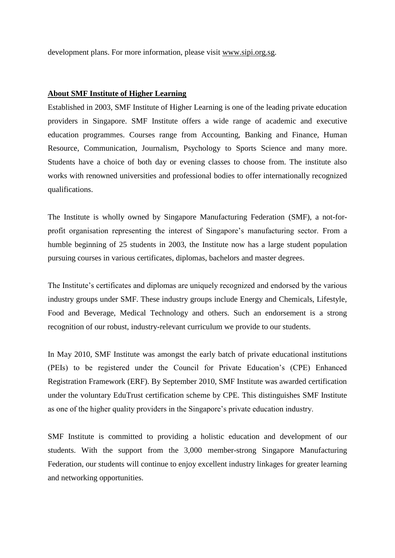development plans. For more information, please visit [www.sipi.org.sg.](http://www.sipi.org.sg/)

#### **About SMF Institute of Higher Learning**

Established in 2003, SMF Institute of Higher Learning is one of the leading private education providers in Singapore. SMF Institute offers a wide range of academic and executive education programmes. Courses range from Accounting, Banking and Finance, Human Resource, Communication, Journalism, Psychology to Sports Science and many more. Students have a choice of both day or evening classes to choose from. The institute also works with renowned universities and professional bodies to offer internationally recognized qualifications.

The Institute is wholly owned by Singapore Manufacturing Federation (SMF), a not-forprofit organisation representing the interest of Singapore's manufacturing sector. From a humble beginning of 25 students in 2003, the Institute now has a large student population pursuing courses in various certificates, diplomas, bachelors and master degrees.

The Institute's certificates and diplomas are uniquely recognized and endorsed by the various industry groups under SMF. These industry groups include Energy and Chemicals, Lifestyle, Food and Beverage, Medical Technology and others. Such an endorsement is a strong recognition of our robust, industry-relevant curriculum we provide to our students.

In May 2010, SMF Institute was amongst the early batch of private educational institutions (PEIs) to be registered under the Council for Private Education's (CPE) Enhanced Registration Framework (ERF). By September 2010, SMF Institute was awarded certification under the voluntary EduTrust certification scheme by CPE. This distinguishes SMF Institute as one of the higher quality providers in the Singapore's private education industry.

SMF Institute is committed to providing a holistic education and development of our students. With the support from the 3,000 member-strong Singapore Manufacturing Federation, our students will continue to enjoy excellent industry linkages for greater learning and networking opportunities.